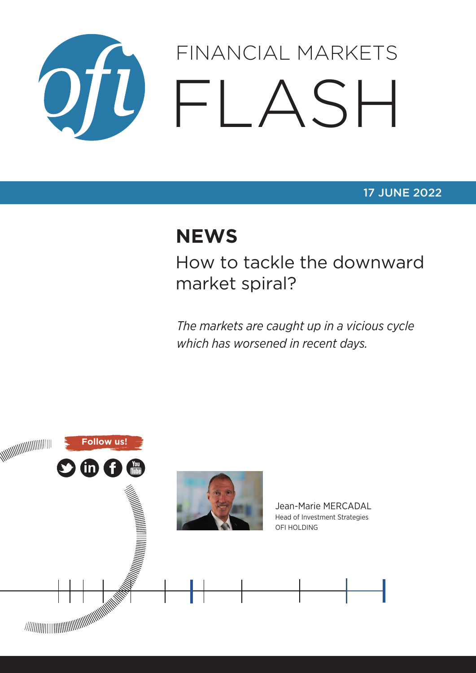

### 17 JUNE 2022

# **NEWS**

How to tackle the downward market spiral?

*The markets are caught up in a vicious cycle which has worsened in recent days.*

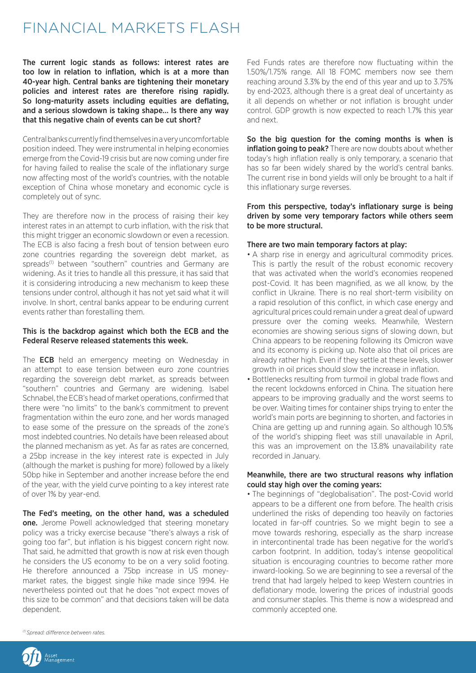## FINANCIAL MARKETS FLASH

The current logic stands as follows: interest rates are too low in relation to inflation, which is at a more than 40-year high. Central banks are tightening their monetary policies and interest rates are therefore rising rapidly. So long-maturity assets including equities are deflating, and a serious slowdown is taking shape… Is there any way that this negative chain of events can be cut short?

Central banks currently find themselves in a very uncomfortable position indeed. They were instrumental in helping economies emerge from the Covid-19 crisis but are now coming under fire for having failed to realise the scale of the inflationary surge now affecting most of the world's countries, with the notable exception of China whose monetary and economic cycle is completely out of sync.

They are therefore now in the process of raising their key interest rates in an attempt to curb inflation, with the risk that this might trigger an economic slowdown or even a recession. The ECB is also facing a fresh bout of tension between euro zone countries regarding the sovereign debt market, as spreads<sup>(1)</sup> between "southern" countries and Germany are widening. As it tries to handle all this pressure, it has said that it is considering introducing a new mechanism to keep these tensions under control, although it has not yet said what it will involve. In short, central banks appear to be enduring current events rather than forestalling them.

#### This is the backdrop against which both the ECB and the Federal Reserve released statements this week.

The **ECB** held an emergency meeting on Wednesday in an attempt to ease tension between euro zone countries regarding the sovereign debt market, as spreads between "southern" countries and Germany are widening. Isabel Schnabel, the ECB's head of market operations, confirmed that there were "no limits" to the bank's commitment to prevent fragmentation within the euro zone, and her words managed to ease some of the pressure on the spreads of the zone's most indebted countries. No details have been released about the planned mechanism as yet. As far as rates are concerned, a 25bp increase in the key interest rate is expected in July (although the market is pushing for more) followed by a likely 50bp hike in September and another increase before the end of the year, with the yield curve pointing to a key interest rate of over 1% by year-end.

The Fed's meeting, on the other hand, was a scheduled one. Jerome Powell acknowledged that steering monetary policy was a tricky exercise because "there's always a risk of going too far", but inflation is his biggest concern right now. That said, he admitted that growth is now at risk even though he considers the US economy to be on a very solid footing. He therefore announced a 75bp increase in US moneymarket rates, the biggest single hike made since 1994. He nevertheless pointed out that he does "not expect moves of this size to be common" and that decisions taken will be data dependent.

Fed Funds rates are therefore now fluctuating within the 1.50%/1.75% range. All 18 FOMC members now see them reaching around 3.3% by the end of this year and up to 3.75% by end-2023, although there is a great deal of uncertainty as it all depends on whether or not inflation is brought under control. GDP growth is now expected to reach 1.7% this year and next.

So the big question for the coming months is when is inflation going to peak? There are now doubts about whether today's high inflation really is only temporary, a scenario that has so far been widely shared by the world's central banks. The current rise in bond yields will only be brought to a halt if this inflationary surge reverses.

From this perspective, today's inflationary surge is being driven by some very temporary factors while others seem to be more structural.

#### There are two main temporary factors at play:

- A sharp rise in energy and agricultural commodity prices. This is partly the result of the robust economic recovery that was activated when the world's economies reopened post-Covid. It has been magnified, as we all know, by the conflict in Ukraine. There is no real short-term visibility on a rapid resolution of this conflict, in which case energy and agricultural prices could remain under a great deal of upward pressure over the coming weeks. Meanwhile, Western economies are showing serious signs of slowing down, but China appears to be reopening following its Omicron wave and its economy is picking up. Note also that oil prices are already rather high. Even if they settle at these levels, slower growth in oil prices should slow the increase in inflation.
- Bottlenecks resulting from turmoil in global trade flows and the recent lockdowns enforced in China. The situation here appears to be improving gradually and the worst seems to be over. Waiting times for container ships trying to enter the world's main ports are beginning to shorten, and factories in China are getting up and running again. So although 10.5% of the world's shipping fleet was still unavailable in April, this was an improvement on the 13.8% unavailability rate recorded in January.

#### Meanwhile, there are two structural reasons why inflation could stay high over the coming years:

• The beginnings of "deglobalisation". The post-Covid world appears to be a different one from before. The health crisis underlined the risks of depending too heavily on factories located in far-off countries. So we might begin to see a move towards reshoring, especially as the sharp increase in intercontinental trade has been negative for the world's carbon footprint. In addition, today's intense geopolitical situation is encouraging countries to become rather more inward-looking. So we are beginning to see a reversal of the trend that had largely helped to keep Western countries in deflationary mode, lowering the prices of industrial goods and consumer staples. This theme is now a widespread and commonly accepted one.

*(1) Spread: difference between rates.*